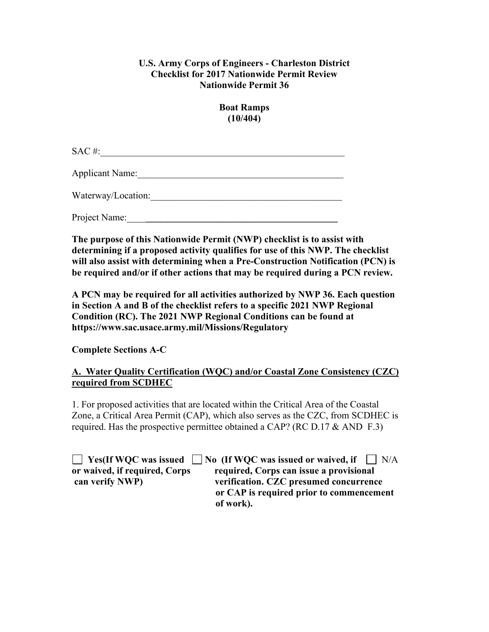## **U.S. Army Corps of Engineers - Charleston District Checklist for 2017 Nationwide Permit Review Nationwide Permit 36**

**Boat Ramps (10/404)**

 $SAC \#:=$ 

Applicant Name:

Waterway/Location:\_\_\_\_\_\_\_\_\_\_\_\_\_\_\_\_\_\_\_\_\_\_\_\_\_\_\_\_\_\_\_\_\_\_\_\_\_\_\_\_

Project Name:

**The purpose of this Nationwide Permit (NWP) checklist is to assist with determining if a proposed activity qualifies for use of this NWP. The checklist will also assist with determining when a Pre-Construction Notification (PCN) is be required and/or if other actions that may be required during a PCN review.**

**A PCN may be required for all activities authorized by NWP 36. Each question in Section A and B of the checklist refers to a specific 2021 NWP Regional Condition (RC). The 2021 NWP Regional Conditions can be found at https://www.sac.usace.army.mil/Missions/Regulatory**

**Complete Sections A-C**

## **A. Water Quality Certification (WQC) and/or Coastal Zone Consistency (CZC) required from SCDHEC**

1. For proposed activities that are located within the Critical Area of the Coastal Zone, a Critical Area Permit (CAP), which also serves as the CZC, from SCDHEC is required. Has the prospective permittee obtained a CAP? (RC D.17  $&$  AND F.3)

**The Ves(If WQC was issued The INO (If WQC was issued or waived, if The IN/A) or waived, if required, Corps required, Corps can issue a provisional can verify NWP) verification. CZC presumed concurrence or CAP is required prior to commencement of work).**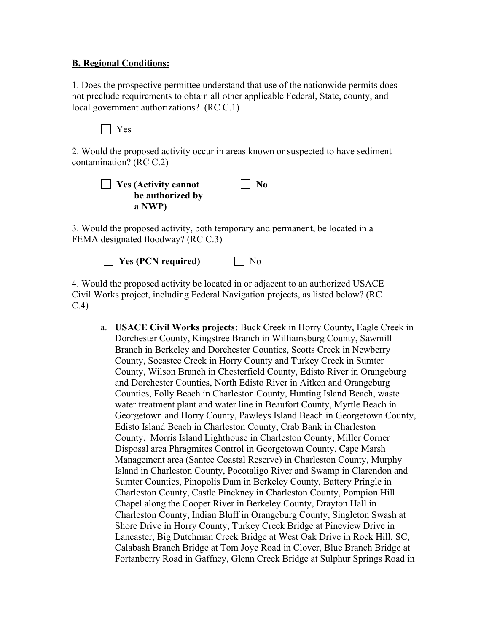## **B. Regional Conditions:**

1. Does the prospective permittee understand that use of the nationwide permits does not preclude requirements to obtain all other applicable Federal, State, county, and local government authorizations? (RC C.1)

Yes

2. Would the proposed activity occur in areas known or suspected to have sediment contamination? (RC C.2)

| $\Box$ Yes (Activity cannot | $\vert$   No |
|-----------------------------|--------------|
| be authorized by            |              |
| a NWP)                      |              |

3. Would the proposed activity, both temporary and permanent, be located in a FEMA designated floodway? (RC C.3)

**Yes (PCN required)** No

4. Would the proposed activity be located in or adjacent to an authorized USACE Civil Works project, including Federal Navigation projects, as listed below? (RC C.4)

a. **USACE Civil Works projects:** Buck Creek in Horry County, Eagle Creek in Dorchester County, Kingstree Branch in Williamsburg County, Sawmill Branch in Berkeley and Dorchester Counties, Scotts Creek in Newberry County, Socastee Creek in Horry County and Turkey Creek in Sumter County, Wilson Branch in Chesterfield County, Edisto River in Orangeburg and Dorchester Counties, North Edisto River in Aitken and Orangeburg Counties, Folly Beach in Charleston County, Hunting Island Beach, waste water treatment plant and water line in Beaufort County, Myrtle Beach in Georgetown and Horry County, Pawleys Island Beach in Georgetown County, Edisto Island Beach in Charleston County, Crab Bank in Charleston County, Morris Island Lighthouse in Charleston County, Miller Corner Disposal area Phragmites Control in Georgetown County, Cape Marsh Management area (Santee Coastal Reserve) in Charleston County, Murphy Island in Charleston County, Pocotaligo River and Swamp in Clarendon and Sumter Counties, Pinopolis Dam in Berkeley County, Battery Pringle in Charleston County, Castle Pinckney in Charleston County, Pompion Hill Chapel along the Cooper River in Berkeley County, Drayton Hall in Charleston County, Indian Bluff in Orangeburg County, Singleton Swash at Shore Drive in Horry County, Turkey Creek Bridge at Pineview Drive in Lancaster, Big Dutchman Creek Bridge at West Oak Drive in Rock Hill, SC, Calabash Branch Bridge at Tom Joye Road in Clover, Blue Branch Bridge at Fortanberry Road in Gaffney, Glenn Creek Bridge at Sulphur Springs Road in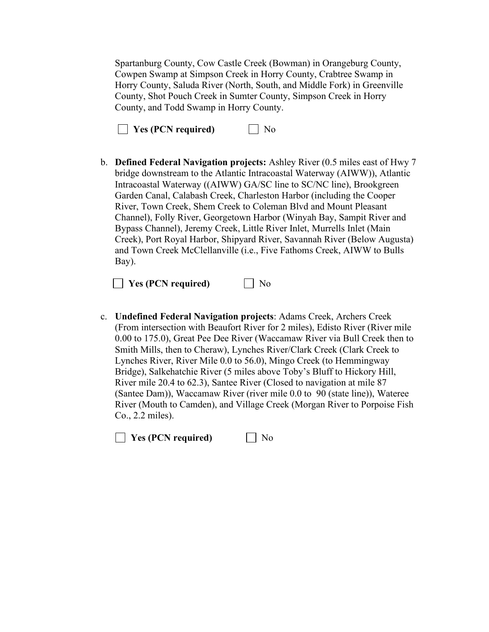Spartanburg County, Cow Castle Creek (Bowman) in Orangeburg County, Cowpen Swamp at Simpson Creek in Horry County, Crabtree Swamp in Horry County, Saluda River (North, South, and Middle Fork) in Greenville County, Shot Pouch Creek in Sumter County, Simpson Creek in Horry County, and Todd Swamp in Horry County.

| <b>Yes (PCN required)</b> | $\Box$ No |
|---------------------------|-----------|
|---------------------------|-----------|

b. **Defined Federal Navigation projects:** Ashley River (0.5 miles east of Hwy 7 bridge downstream to the Atlantic Intracoastal Waterway (AIWW)), Atlantic Intracoastal Waterway ((AIWW) GA/SC line to SC/NC line), Brookgreen Garden Canal, Calabash Creek, Charleston Harbor (including the Cooper River, Town Creek, Shem Creek to Coleman Blvd and Mount Pleasant Channel), Folly River, Georgetown Harbor (Winyah Bay, Sampit River and Bypass Channel), Jeremy Creek, Little River Inlet, Murrells Inlet (Main Creek), Port Royal Harbor, Shipyard River, Savannah River (Below Augusta) and Town Creek McClellanville (i.e., Five Fathoms Creek, AIWW to Bulls Bay).

**No** Yes (PCN required) No

c. **Undefined Federal Navigation projects**: Adams Creek, Archers Creek (From intersection with Beaufort River for 2 miles), Edisto River (River mile 0.00 to 175.0), Great Pee Dee River (Waccamaw River via Bull Creek then to Smith Mills, then to Cheraw), Lynches River/Clark Creek (Clark Creek to Lynches River, River Mile 0.0 to 56.0), Mingo Creek (to Hemmingway Bridge), Salkehatchie River (5 miles above Toby's Bluff to Hickory Hill, River mile 20.4 to 62.3), Santee River (Closed to navigation at mile 87 (Santee Dam)), Waccamaw River (river mile 0.0 to 90 (state line)), Wateree River (Mouth to Camden), and Village Creek (Morgan River to Porpoise Fish Co., 2.2 miles).

**No** Yes (PCN required) Mo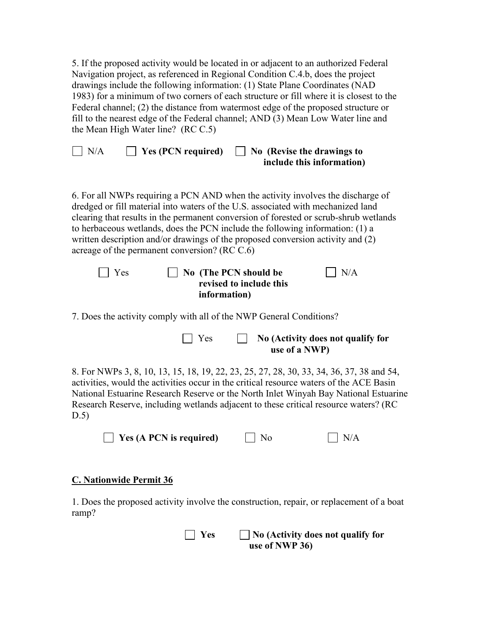5. If the proposed activity would be located in or adjacent to an authorized Federal Navigation project, as referenced in Regional Condition C.4.b, does the project drawings include the following information: (1) State Plane Coordinates (NAD 1983) for a minimum of two corners of each structure or fill where it is closest to the Federal channel; (2) the distance from watermost edge of the proposed structure or fill to the nearest edge of the Federal channel; AND (3) Mean Low Water line and the Mean High Water line? (RC C.5)

 $\Box$  N/A  $\Box$  Yes (PCN required)  $\Box$  No (Revise the drawings to  **include this information)** 

6. For all NWPs requiring a PCN AND when the activity involves the discharge of dredged or fill material into waters of the U.S. associated with mechanized land clearing that results in the permanent conversion of forested or scrub-shrub wetlands to herbaceous wetlands, does the PCN include the following information: (1) a written description and/or drawings of the proposed conversion activity and (2) acreage of the permanent conversion? (RC C.6)

| $\Box$ Yes | $\vert$ No (The PCN should be | $\overline{\rm N/A}$ |
|------------|-------------------------------|----------------------|
|            | revised to include this       |                      |
|            | information)                  |                      |

7. Does the activity comply with all of the NWP General Conditions?

| $\vert$   Yes | No (Activity does not qualify for |
|---------------|-----------------------------------|
|               | use of a NWP)                     |

8. For NWPs 3, 8, 10, 13, 15, 18, 19, 22, 23, 25, 27, 28, 30, 33, 34, 36, 37, 38 and 54, activities, would the activities occur in the critical resource waters of the ACE Basin National Estuarine Research Reserve or the North Inlet Winyah Bay National Estuarine Research Reserve, including wetlands adjacent to these critical resource waters? (RC D.5)

| $\Box$ Yes (A PCN is required) | $\Box$ No | $\Box$ N/A |
|--------------------------------|-----------|------------|
|--------------------------------|-----------|------------|

## **C. Nationwide Permit 36**

1. Does the proposed activity involve the construction, repair, or replacement of a boat ramp?

| $\Box$ Yes | $\Box$ No (Activity does not qualify for |
|------------|------------------------------------------|
|            | use of NWP 36)                           |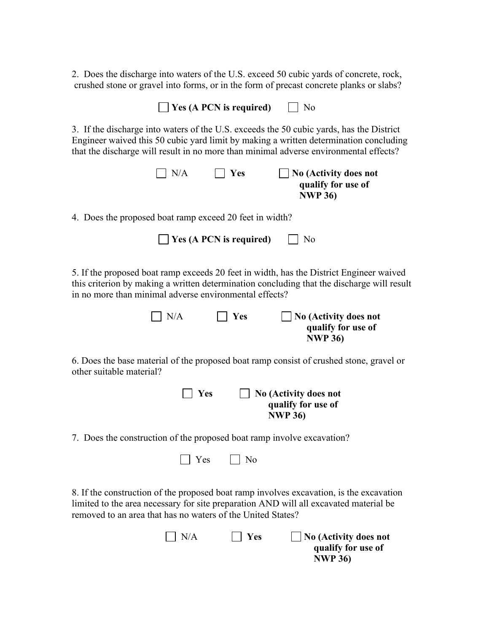2. Does the discharge into waters of the U.S. exceed 50 cubic yards of concrete, rock, crushed stone or gravel into forms, or in the form of precast concrete planks or slabs?

| Yes (A PCN is required)<br>No                                                                                                                                                                                                                                              |  |  |  |  |
|----------------------------------------------------------------------------------------------------------------------------------------------------------------------------------------------------------------------------------------------------------------------------|--|--|--|--|
| 3. If the discharge into waters of the U.S. exceeds the 50 cubic yards, has the District<br>Engineer waived this 50 cubic yard limit by making a written determination concluding<br>that the discharge will result in no more than minimal adverse environmental effects? |  |  |  |  |
| N/A<br>$\vert$ Yes<br>No (Activity does not<br>qualify for use of<br><b>NWP 36)</b>                                                                                                                                                                                        |  |  |  |  |
| 4. Does the proposed boat ramp exceed 20 feet in width?                                                                                                                                                                                                                    |  |  |  |  |
| Yes (A PCN is required)<br>No                                                                                                                                                                                                                                              |  |  |  |  |
| 5. If the proposed boat ramp exceeds 20 feet in width, has the District Engineer waived<br>this criterion by making a written determination concluding that the discharge will result<br>in no more than minimal adverse environmental effects?                            |  |  |  |  |
| N/A<br>Yes<br><b>No (Activity does not</b><br>qualify for use of<br><b>NWP 36)</b>                                                                                                                                                                                         |  |  |  |  |
| 6. Does the base material of the proposed boat ramp consist of crushed stone, gravel or<br>other suitable material?                                                                                                                                                        |  |  |  |  |

 **Yes No (Activity does not qualify for use of NWP 36)**

7. Does the construction of the proposed boat ramp involve excavation?

| $\bigcap$ Yes<br>$\Box$ No |
|----------------------------|
|                            |

8. If the construction of the proposed boat ramp involves excavation, is the excavation limited to the area necessary for site preparation AND will all excavated material be removed to an area that has no waters of the United States?

| $\vert$ $\vert$ N/A | $\Box$ Yes | $\Box$ No (Activity does not |
|---------------------|------------|------------------------------|
|                     |            | qualify for use of           |
|                     |            | <b>NWP 36)</b>               |